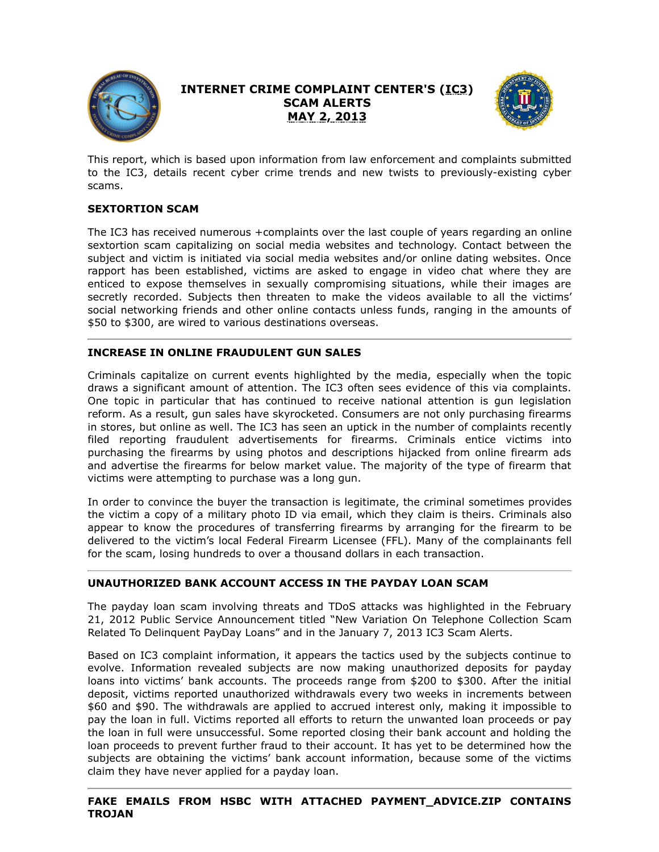

# **INTERNET CRIME COMPLAINT CENTER'S (IC3) SCAM ALERTS MAY 2, 2013**



This report, which is based upon information from law enforcement and complaints submitted to the IC3, details recent cyber crime trends and new twists to previously-existing cyber scams.

## **SEXTORTION SCAM**

The IC3 has received numerous +complaints over the last couple of years regarding an online sextortion scam capitalizing on social media websites and technology. Contact between the subject and victim is initiated via social media websites and/or online dating websites. Once rapport has been established, victims are asked to engage in video chat where they are enticed to expose themselves in sexually compromising situations, while their images are secretly recorded. Subjects then threaten to make the videos available to all the victims' social networking friends and other online contacts unless funds, ranging in the amounts of \$50 to \$300, are wired to various destinations overseas.

### **INCREASE IN ONLINE FRAUDULENT GUN SALES**

Criminals capitalize on current events highlighted by the media, especially when the topic draws a significant amount of attention. The IC3 often sees evidence of this via complaints. One topic in particular that has continued to receive national attention is gun legislation reform. As a result, gun sales have skyrocketed. Consumers are not only purchasing firearms in stores, but online as well. The IC3 has seen an uptick in the number of complaints recently filed reporting fraudulent advertisements for firearms. Criminals entice victims into purchasing the firearms by using photos and descriptions hijacked from online firearm ads and advertise the firearms for below market value. The majority of the type of firearm that victims were attempting to purchase was a long gun.

In order to convince the buyer the transaction is legitimate, the criminal sometimes provides the victim a copy of a military photo ID via email, which they claim is theirs. Criminals also appear to know the procedures of transferring firearms by arranging for the firearm to be delivered to the victim's local Federal Firearm Licensee (FFL). Many of the complainants fell for the scam, losing hundreds to over a thousand dollars in each transaction.

### **UNAUTHORIZED BANK ACCOUNT ACCESS IN THE PAYDAY LOAN SCAM**

The payday loan scam involving threats and TDoS attacks was highlighted in the February 21, 2012 Public Service Announcement titled "New Variation On Telephone Collection Scam Related To Delinquent PayDay Loans" and in the January 7, 2013 IC3 Scam Alerts.

Based on IC3 complaint information, it appears the tactics used by the subjects continue to evolve. Information revealed subjects are now making unauthorized deposits for payday loans into victims' bank accounts. The proceeds range from \$200 to \$300. After the initial deposit, victims reported unauthorized withdrawals every two weeks in increments between \$60 and \$90. The withdrawals are applied to accrued interest only, making it impossible to pay the loan in full. Victims reported all efforts to return the unwanted loan proceeds or pay the loan in full were unsuccessful. Some reported closing their bank account and holding the loan proceeds to prevent further fraud to their account. It has yet to be determined how the subjects are obtaining the victims' bank account information, because some of the victims claim they have never applied for a payday loan.